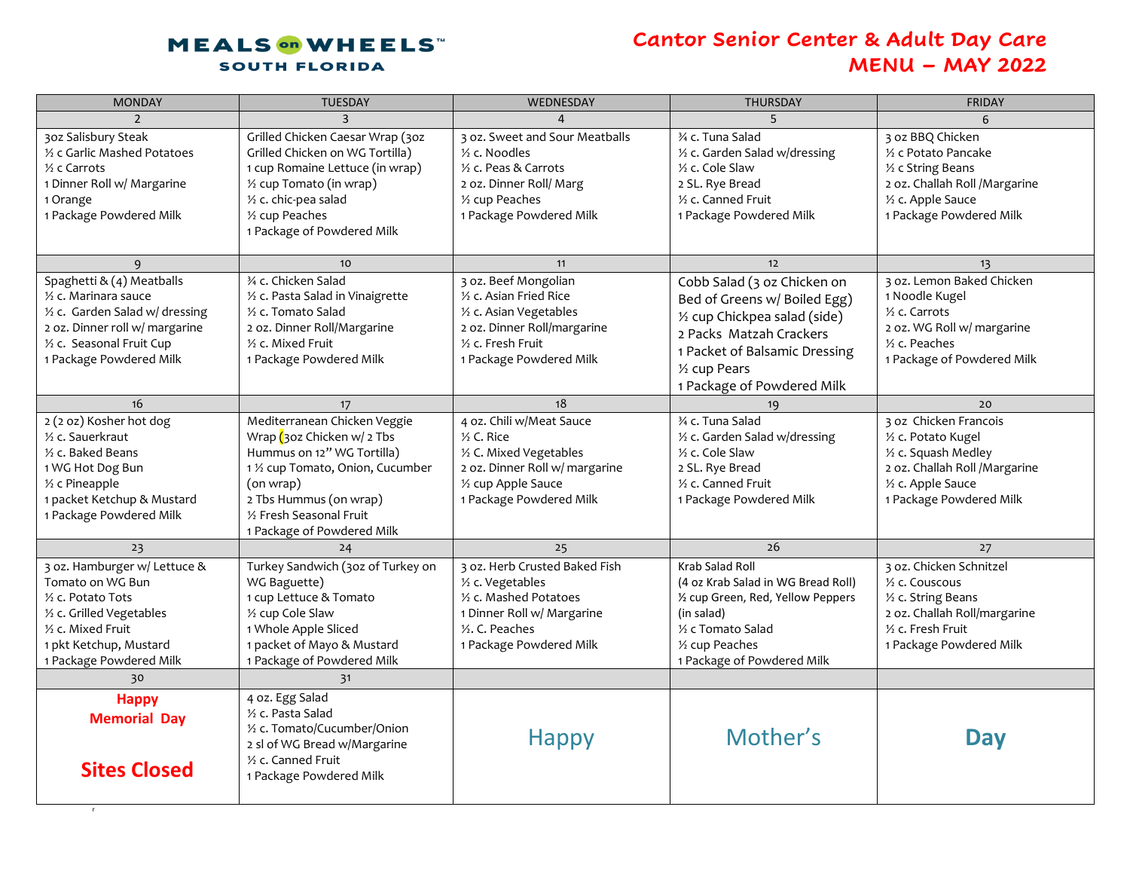## **MEALS** on WHEELS **SOUTH FLORIDA**

r

## **Cantor Senior Center & Adult Day Care MENU – MAY 2022**

| <b>MONDAY</b>                                                                                                                                                                                        | <b>TUESDAY</b>                                                                                                                                                                                                                       | WEDNESDAY                                                                                                                                                                  | <b>THURSDAY</b>                                                                                                                                                                                         | <b>FRIDAY</b>                                                                                                                                           |
|------------------------------------------------------------------------------------------------------------------------------------------------------------------------------------------------------|--------------------------------------------------------------------------------------------------------------------------------------------------------------------------------------------------------------------------------------|----------------------------------------------------------------------------------------------------------------------------------------------------------------------------|---------------------------------------------------------------------------------------------------------------------------------------------------------------------------------------------------------|---------------------------------------------------------------------------------------------------------------------------------------------------------|
| $\mathcal{P}$                                                                                                                                                                                        | $\mathbf{R}$                                                                                                                                                                                                                         |                                                                                                                                                                            | 5                                                                                                                                                                                                       |                                                                                                                                                         |
| 30z Salisbury Steak<br>1/2 c Garlic Mashed Potatoes<br>$\frac{1}{2}$ c Carrots<br>1 Dinner Roll w/ Margarine<br>1 Orange<br>1 Package Powdered Milk                                                  | Grilled Chicken Caesar Wrap (30z<br>Grilled Chicken on WG Tortilla)<br>1 cup Romaine Lettuce (in wrap)<br>1/2 cup Tomato (in wrap)<br>1/2 c. chic-pea salad<br>1/2 cup Peaches<br>1 Package of Powdered Milk                         | 3 oz. Sweet and Sour Meatballs<br>$%$ c. Noodles<br>1/ <sub>2</sub> c. Peas & Carrots<br>2 oz. Dinner Roll/ Marg<br>1/ <sub>2</sub> cup Peaches<br>1 Package Powdered Milk | 3⁄4 c. Tuna Salad<br>1/2 c. Garden Salad w/dressing<br>$\frac{1}{2}$ c. Cole Slaw<br>2 SL. Rye Bread<br>1/2 c. Canned Fruit<br>1 Package Powdered Milk                                                  | 3 oz BBQ Chicken<br>1/2 c Potato Pancake<br>1/2 c String Beans<br>2 oz. Challah Roll / Margarine<br>1/2 c. Apple Sauce<br>1 Package Powdered Milk       |
| 9                                                                                                                                                                                                    | 10 <sup>°</sup>                                                                                                                                                                                                                      | 11                                                                                                                                                                         | 12                                                                                                                                                                                                      | 13                                                                                                                                                      |
| Spaghetti & (4) Meatballs<br>1/2 c. Marinara sauce<br>1/2 c. Garden Salad w/ dressing<br>2 oz. Dinner roll w/ margarine<br>1/2 c. Seasonal Fruit Cup<br>1 Package Powdered Milk                      | 34 c. Chicken Salad<br>1/2 c. Pasta Salad in Vinaigrette<br>1/2 c. Tomato Salad<br>2 oz. Dinner Roll/Margarine<br>1/2 c. Mixed Fruit<br>1 Package Powdered Milk                                                                      | 3 oz. Beef Mongolian<br>1/2 c. Asian Fried Rice<br>1/ <sub>2</sub> c. Asian Vegetables<br>2 oz. Dinner Roll/margarine<br>1/2 c. Fresh Fruit<br>1 Package Powdered Milk     | Cobb Salad (3 oz Chicken on<br>Bed of Greens w/ Boiled Egg)<br>1/2 cup Chickpea salad (side)<br>2 Packs Matzah Crackers<br>1 Packet of Balsamic Dressing<br>1/2 cup Pears<br>1 Package of Powdered Milk | 3 oz. Lemon Baked Chicken<br>1 Noodle Kugel<br>1/2 c. Carrots<br>2 oz. WG Roll w/ margarine<br>$\frac{1}{2}$ c. Peaches<br>1 Package of Powdered Milk   |
| 16                                                                                                                                                                                                   | 17                                                                                                                                                                                                                                   | 18                                                                                                                                                                         |                                                                                                                                                                                                         | 20                                                                                                                                                      |
| 2 (2 oz) Kosher hot dog<br>1/ <sub>2</sub> c. Sauerkraut<br>$\frac{1}{2}$ c. Baked Beans<br>1 WG Hot Dog Bun<br>1/ <sub>2</sub> c Pineapple<br>1 packet Ketchup & Mustard<br>1 Package Powdered Milk | Mediterranean Chicken Veggie<br>Wrap $\int$ 30z Chicken w/ 2 Tbs<br>Hummus on 12" WG Tortilla)<br>1 1/2 cup Tomato, Onion, Cucumber<br>(on wrap)<br>2 Tbs Hummus (on wrap)<br>1/2 Fresh Seasonal Fruit<br>1 Package of Powdered Milk | 4 oz. Chili w/Meat Sauce<br>$\frac{1}{2}$ C. Rice<br>1/2 C. Mixed Vegetables<br>2 oz. Dinner Roll w/ margarine<br>1/2 cup Apple Sauce<br>1 Package Powdered Milk           | 3⁄4 c. Tuna Salad<br>1/2 c. Garden Salad w/dressing<br>1/2 c. Cole Slaw<br>2 SL. Rye Bread<br>1/2 c. Canned Fruit<br>1 Package Powdered Milk                                                            | 3 oz Chicken Francois<br>1/2 c. Potato Kugel<br>1/2 c. Squash Medley<br>2 oz. Challah Roll / Margarine<br>1/2 c. Apple Sauce<br>1 Package Powdered Milk |
| 23                                                                                                                                                                                                   | 24                                                                                                                                                                                                                                   | 25                                                                                                                                                                         | 26                                                                                                                                                                                                      | 27                                                                                                                                                      |
| 3 oz. Hamburger w/ Lettuce &<br>Tomato on WG Bun<br>1/2 c. Potato Tots<br>1/2 c. Grilled Vegetables<br>1/2 c. Mixed Fruit<br>1 pkt Ketchup, Mustard<br>1 Package Powdered Milk                       | Turkey Sandwich (30z of Turkey on<br>WG Baguette)<br>1 cup Lettuce & Tomato<br>1/2 cup Cole Slaw<br>1 Whole Apple Sliced<br>1 packet of Mayo & Mustard<br>1 Package of Powdered Milk                                                 | 3 oz. Herb Crusted Baked Fish<br>1/2 c. Vegetables<br>1/2 c. Mashed Potatoes<br>1 Dinner Roll w/ Margarine<br>1/2. C. Peaches<br>1 Package Powdered Milk                   | Krab Salad Roll<br>(4 oz Krab Salad in WG Bread Roll)<br>1/2 cup Green, Red, Yellow Peppers<br>(in salad)<br>1/2 c Tomato Salad<br>1/ <sub>2</sub> cup Peaches<br>1 Package of Powdered Milk            | 3 oz. Chicken Schnitzel<br>1/2 c. Couscous<br>1/2 c. String Beans<br>2 oz. Challah Roll/margarine<br>1/2 c. Fresh Fruit<br>1 Package Powdered Milk      |
| 30                                                                                                                                                                                                   | 31                                                                                                                                                                                                                                   |                                                                                                                                                                            |                                                                                                                                                                                                         |                                                                                                                                                         |
| <b>Happy</b><br><b>Memorial Day</b><br><b>Sites Closed</b>                                                                                                                                           | 4 oz. Egg Salad<br>1/ <sub>2</sub> c. Pasta Salad<br>1/2 c. Tomato/Cucumber/Onion<br>2 sl of WG Bread w/Margarine<br>1/2 c. Canned Fruit<br>1 Package Powdered Milk                                                                  | <b>Happy</b>                                                                                                                                                               | Mother's                                                                                                                                                                                                | <b>Day</b>                                                                                                                                              |